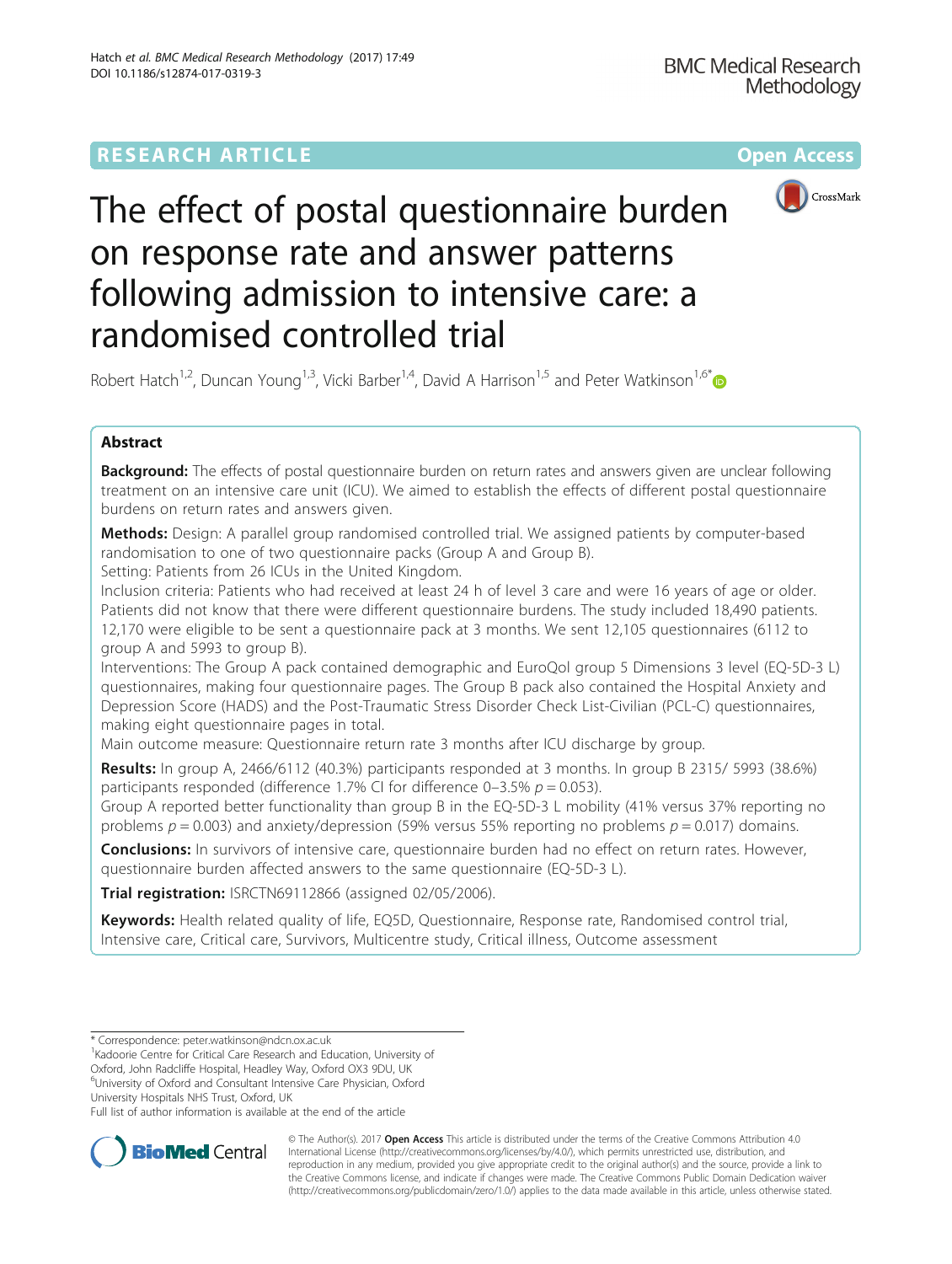## **RESEARCH ARTICLE Example 2014 12:30 The Community Community Community Community Community Community Community**



The effect of postal questionnaire burden on response rate and answer patterns following admission to intensive care: a randomised controlled trial

Robert Hatch<sup>1,2</sup>, Duncan Young<sup>1,3</sup>, Vicki Barber<sup>1,4</sup>, David A Harrison<sup>1,5</sup> and Peter Watkinson<sup>1,6\*</sup>

## Abstract

**Background:** The effects of postal questionnaire burden on return rates and answers given are unclear following treatment on an intensive care unit (ICU). We aimed to establish the effects of different postal questionnaire burdens on return rates and answers given.

**Methods:** Design: A parallel group randomised controlled trial. We assigned patients by computer-based randomisation to one of two questionnaire packs (Group A and Group B).

Setting: Patients from 26 ICUs in the United Kingdom.

Inclusion criteria: Patients who had received at least 24 h of level 3 care and were 16 years of age or older. Patients did not know that there were different questionnaire burdens. The study included 18,490 patients. 12,170 were eligible to be sent a questionnaire pack at 3 months. We sent 12,105 questionnaires (6112 to group A and 5993 to group B).

Interventions: The Group A pack contained demographic and EuroQol group 5 Dimensions 3 level (EQ-5D-3 L) questionnaires, making four questionnaire pages. The Group B pack also contained the Hospital Anxiety and Depression Score (HADS) and the Post-Traumatic Stress Disorder Check List-Civilian (PCL-C) questionnaires, making eight questionnaire pages in total.

Main outcome measure: Questionnaire return rate 3 months after ICU discharge by group.

Results: In group A, 2466/6112 (40.3%) participants responded at 3 months. In group B 2315/ 5993 (38.6%) participants responded (difference 1.7% CI for difference 0–3.5%  $p = 0.053$ ).

Group A reported better functionality than group B in the EQ-5D-3 L mobility (41% versus 37% reporting no problems  $p = 0.003$ ) and anxiety/depression (59% versus 55% reporting no problems  $p = 0.017$ ) domains.

**Conclusions:** In survivors of intensive care, questionnaire burden had no effect on return rates. However, questionnaire burden affected answers to the same questionnaire (EQ-5D-3 L).

Trial registration: [ISRCTN69112866](http://www.isrctn.com/ISRCTN69112866) (assigned 02/05/2006).

Keywords: Health related quality of life, EQ5D, Questionnaire, Response rate, Randomised control trial, Intensive care, Critical care, Survivors, Multicentre study, Critical illness, Outcome assessment

<sup>1</sup>Kadoorie Centre for Critical Care Research and Education, University of

Oxford, John Radcliffe Hospital, Headley Way, Oxford OX3 9DU, UK

6 University of Oxford and Consultant Intensive Care Physician, Oxford University Hospitals NHS Trust, Oxford, UK

Full list of author information is available at the end of the article



© The Author(s). 2017 **Open Access** This article is distributed under the terms of the Creative Commons Attribution 4.0 International License [\(http://creativecommons.org/licenses/by/4.0/](http://creativecommons.org/licenses/by/4.0/)), which permits unrestricted use, distribution, and reproduction in any medium, provided you give appropriate credit to the original author(s) and the source, provide a link to the Creative Commons license, and indicate if changes were made. The Creative Commons Public Domain Dedication waiver [\(http://creativecommons.org/publicdomain/zero/1.0/](http://creativecommons.org/publicdomain/zero/1.0/)) applies to the data made available in this article, unless otherwise stated.

<sup>\*</sup> Correspondence: [peter.watkinson@ndcn.ox.ac.uk](mailto:peter.watkinson@ndcn.ox.ac.uk) <sup>1</sup>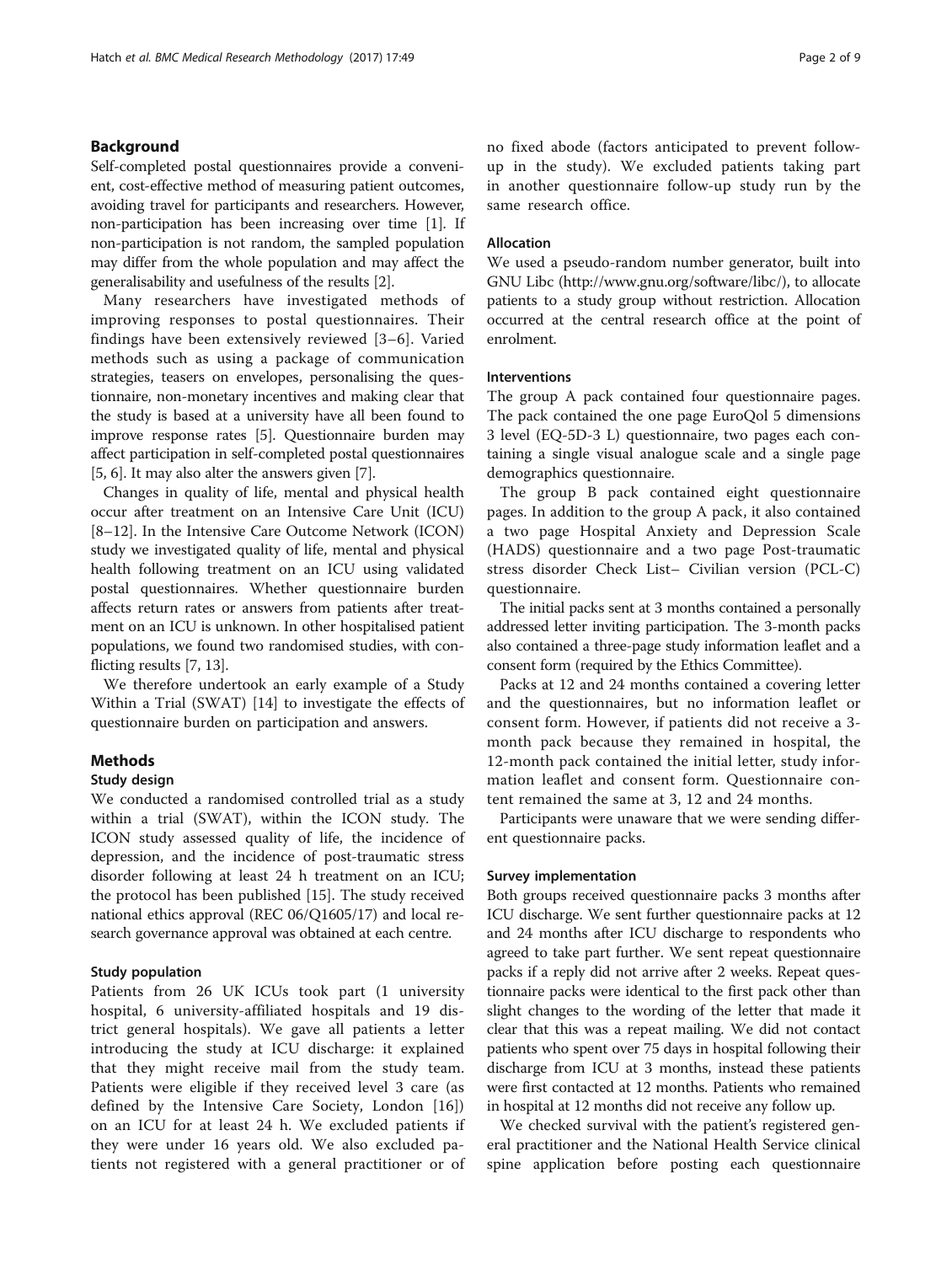## Background

Self-completed postal questionnaires provide a convenient, cost-effective method of measuring patient outcomes, avoiding travel for participants and researchers. However, non-participation has been increasing over time [\[1](#page-8-0)]. If non-participation is not random, the sampled population may differ from the whole population and may affect the generalisability and usefulness of the results [[2\]](#page-8-0).

Many researchers have investigated methods of improving responses to postal questionnaires. Their findings have been extensively reviewed [\[3](#page-8-0)–[6\]](#page-8-0). Varied methods such as using a package of communication strategies, teasers on envelopes, personalising the questionnaire, non-monetary incentives and making clear that the study is based at a university have all been found to improve response rates [[5](#page-8-0)]. Questionnaire burden may affect participation in self-completed postal questionnaires [[5, 6](#page-8-0)]. It may also alter the answers given [\[7](#page-8-0)].

Changes in quality of life, mental and physical health occur after treatment on an Intensive Care Unit (ICU) [[8](#page-8-0)–[12\]](#page-8-0). In the Intensive Care Outcome Network (ICON) study we investigated quality of life, mental and physical health following treatment on an ICU using validated postal questionnaires. Whether questionnaire burden affects return rates or answers from patients after treatment on an ICU is unknown. In other hospitalised patient populations, we found two randomised studies, with conflicting results [[7, 13\]](#page-8-0).

We therefore undertook an early example of a Study Within a Trial (SWAT) [\[14\]](#page-8-0) to investigate the effects of questionnaire burden on participation and answers.

## Methods

## Study design

We conducted a randomised controlled trial as a study within a trial (SWAT), within the ICON study. The ICON study assessed quality of life, the incidence of depression, and the incidence of post-traumatic stress disorder following at least 24 h treatment on an ICU; the protocol has been published [[15](#page-8-0)]. The study received national ethics approval (REC 06/Q1605/17) and local research governance approval was obtained at each centre.

#### Study population

Patients from 26 UK ICUs took part (1 university hospital, 6 university-affiliated hospitals and 19 district general hospitals). We gave all patients a letter introducing the study at ICU discharge: it explained that they might receive mail from the study team. Patients were eligible if they received level 3 care (as defined by the Intensive Care Society, London [\[16](#page-8-0)]) on an ICU for at least 24 h. We excluded patients if they were under 16 years old. We also excluded patients not registered with a general practitioner or of no fixed abode (factors anticipated to prevent followup in the study). We excluded patients taking part in another questionnaire follow-up study run by the same research office.

## Allocation

We used a pseudo-random number generator, built into GNU Libc (<http://www.gnu.org/software/libc/>), to allocate patients to a study group without restriction. Allocation occurred at the central research office at the point of enrolment.

## Interventions

The group A pack contained four questionnaire pages. The pack contained the one page EuroQol 5 dimensions 3 level (EQ-5D-3 L) questionnaire, two pages each containing a single visual analogue scale and a single page demographics questionnaire.

The group B pack contained eight questionnaire pages. In addition to the group A pack, it also contained a two page Hospital Anxiety and Depression Scale (HADS) questionnaire and a two page Post-traumatic stress disorder Check List– Civilian version (PCL-C) questionnaire.

The initial packs sent at 3 months contained a personally addressed letter inviting participation. The 3-month packs also contained a three-page study information leaflet and a consent form (required by the Ethics Committee).

Packs at 12 and 24 months contained a covering letter and the questionnaires, but no information leaflet or consent form. However, if patients did not receive a 3 month pack because they remained in hospital, the 12-month pack contained the initial letter, study information leaflet and consent form. Questionnaire content remained the same at 3, 12 and 24 months.

Participants were unaware that we were sending different questionnaire packs.

## Survey implementation

Both groups received questionnaire packs 3 months after ICU discharge. We sent further questionnaire packs at 12 and 24 months after ICU discharge to respondents who agreed to take part further. We sent repeat questionnaire packs if a reply did not arrive after 2 weeks. Repeat questionnaire packs were identical to the first pack other than slight changes to the wording of the letter that made it clear that this was a repeat mailing. We did not contact patients who spent over 75 days in hospital following their discharge from ICU at 3 months, instead these patients were first contacted at 12 months. Patients who remained in hospital at 12 months did not receive any follow up.

We checked survival with the patient's registered general practitioner and the National Health Service clinical spine application before posting each questionnaire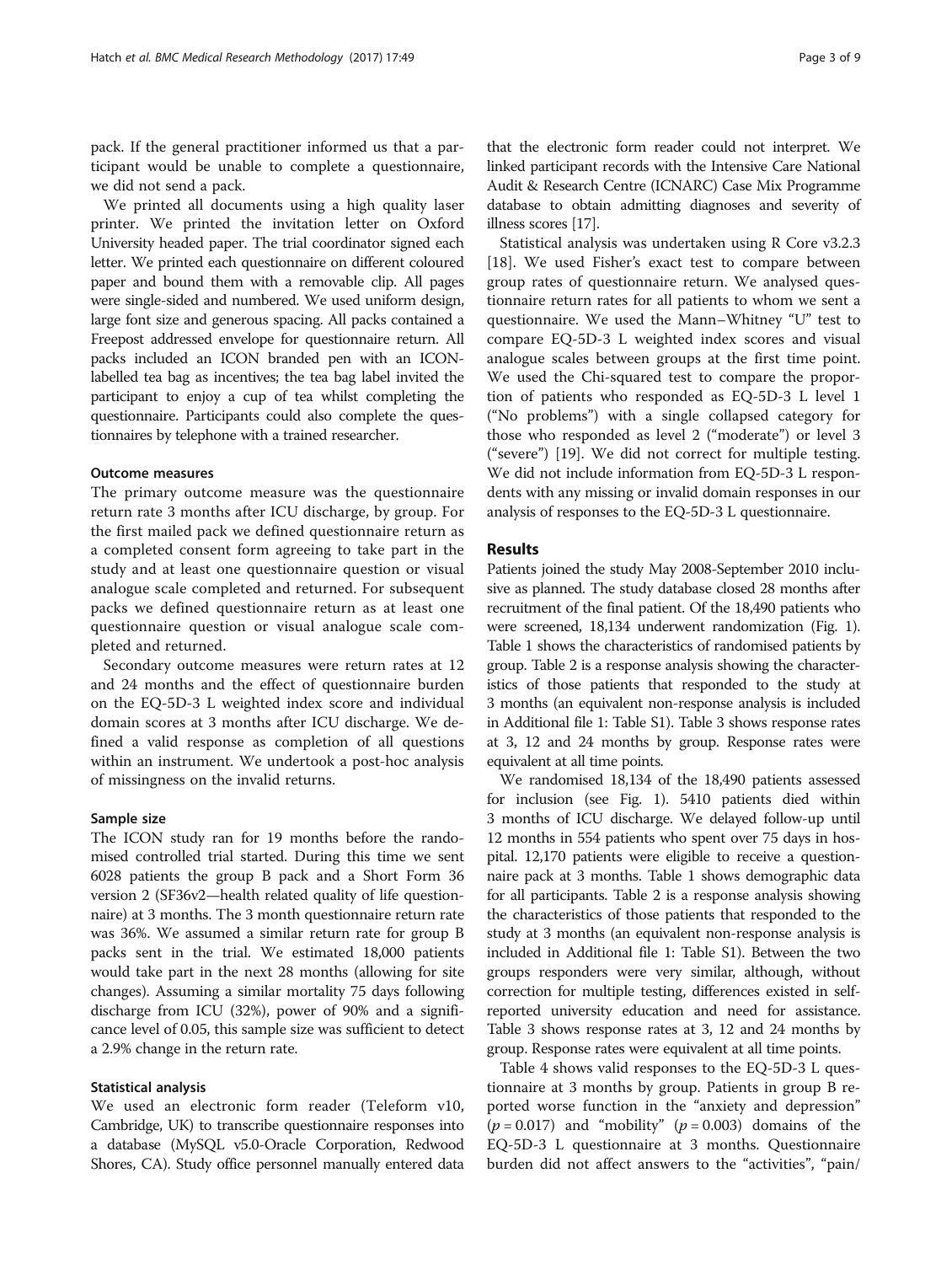pack. If the general practitioner informed us that a participant would be unable to complete a questionnaire, we did not send a pack.

We printed all documents using a high quality laser printer. We printed the invitation letter on Oxford University headed paper. The trial coordinator signed each letter. We printed each questionnaire on different coloured paper and bound them with a removable clip. All pages were single-sided and numbered. We used uniform design, large font size and generous spacing. All packs contained a Freepost addressed envelope for questionnaire return. All packs included an ICON branded pen with an ICONlabelled tea bag as incentives; the tea bag label invited the participant to enjoy a cup of tea whilst completing the questionnaire. Participants could also complete the questionnaires by telephone with a trained researcher.

### Outcome measures

The primary outcome measure was the questionnaire return rate 3 months after ICU discharge, by group. For the first mailed pack we defined questionnaire return as a completed consent form agreeing to take part in the study and at least one questionnaire question or visual analogue scale completed and returned. For subsequent packs we defined questionnaire return as at least one questionnaire question or visual analogue scale completed and returned.

Secondary outcome measures were return rates at 12 and 24 months and the effect of questionnaire burden on the EQ-5D-3 L weighted index score and individual domain scores at 3 months after ICU discharge. We defined a valid response as completion of all questions within an instrument. We undertook a post-hoc analysis of missingness on the invalid returns.

## Sample size

The ICON study ran for 19 months before the randomised controlled trial started. During this time we sent 6028 patients the group B pack and a Short Form 36 version 2 (SF36v2—health related quality of life questionnaire) at 3 months. The 3 month questionnaire return rate was 36%. We assumed a similar return rate for group B packs sent in the trial. We estimated 18,000 patients would take part in the next 28 months (allowing for site changes). Assuming a similar mortality 75 days following discharge from ICU (32%), power of 90% and a significance level of 0.05, this sample size was sufficient to detect a 2.9% change in the return rate.

#### Statistical analysis

We used an electronic form reader (Teleform v10, Cambridge, UK) to transcribe questionnaire responses into a database (MySQL v5.0-Oracle Corporation, Redwood Shores, CA). Study office personnel manually entered data

that the electronic form reader could not interpret. We linked participant records with the Intensive Care National Audit & Research Centre (ICNARC) Case Mix Programme database to obtain admitting diagnoses and severity of illness scores [[17](#page-8-0)].

Statistical analysis was undertaken using R Core v3.2.3 [[18\]](#page-8-0). We used Fisher's exact test to compare between group rates of questionnaire return. We analysed questionnaire return rates for all patients to whom we sent a questionnaire. We used the Mann–Whitney "U" test to compare EQ-5D-3 L weighted index scores and visual analogue scales between groups at the first time point. We used the Chi-squared test to compare the proportion of patients who responded as EQ-5D-3 L level 1 ("No problems") with a single collapsed category for those who responded as level 2 ("moderate") or level 3 ("severe") [[19](#page-8-0)]. We did not correct for multiple testing. We did not include information from EQ-5D-3 L respondents with any missing or invalid domain responses in our analysis of responses to the EQ-5D-3 L questionnaire.

## **Results**

Patients joined the study May 2008-September 2010 inclusive as planned. The study database closed 28 months after recruitment of the final patient. Of the 18,490 patients who were screened, 18,134 underwent randomization (Fig. [1](#page-3-0)). Table [1](#page-4-0) shows the characteristics of randomised patients by group. Table [2](#page-5-0) is a response analysis showing the characteristics of those patients that responded to the study at 3 months (an equivalent non-response analysis is included in Additional file [1](#page-7-0): Table S1). Table [3](#page-6-0) shows response rates at 3, 12 and 24 months by group. Response rates were equivalent at all time points.

We randomised 18,134 of the 18,490 patients assessed for inclusion (see Fig. [1\)](#page-3-0). 5410 patients died within 3 months of ICU discharge. We delayed follow-up until 12 months in 554 patients who spent over 75 days in hospital. 12,170 patients were eligible to receive a questionnaire pack at 3 months. Table [1](#page-4-0) shows demographic data for all participants. Table [2](#page-5-0) is a response analysis showing the characteristics of those patients that responded to the study at 3 months (an equivalent non-response analysis is included in Additional file [1](#page-7-0): Table S1). Between the two groups responders were very similar, although, without correction for multiple testing, differences existed in selfreported university education and need for assistance. Table [3](#page-6-0) shows response rates at 3, 12 and 24 months by group. Response rates were equivalent at all time points.

Table [4](#page-7-0) shows valid responses to the EQ-5D-3 L questionnaire at 3 months by group. Patients in group B reported worse function in the "anxiety and depression"  $(p = 0.017)$  and "mobility"  $(p = 0.003)$  domains of the EQ-5D-3 L questionnaire at 3 months. Questionnaire burden did not affect answers to the "activities", "pain/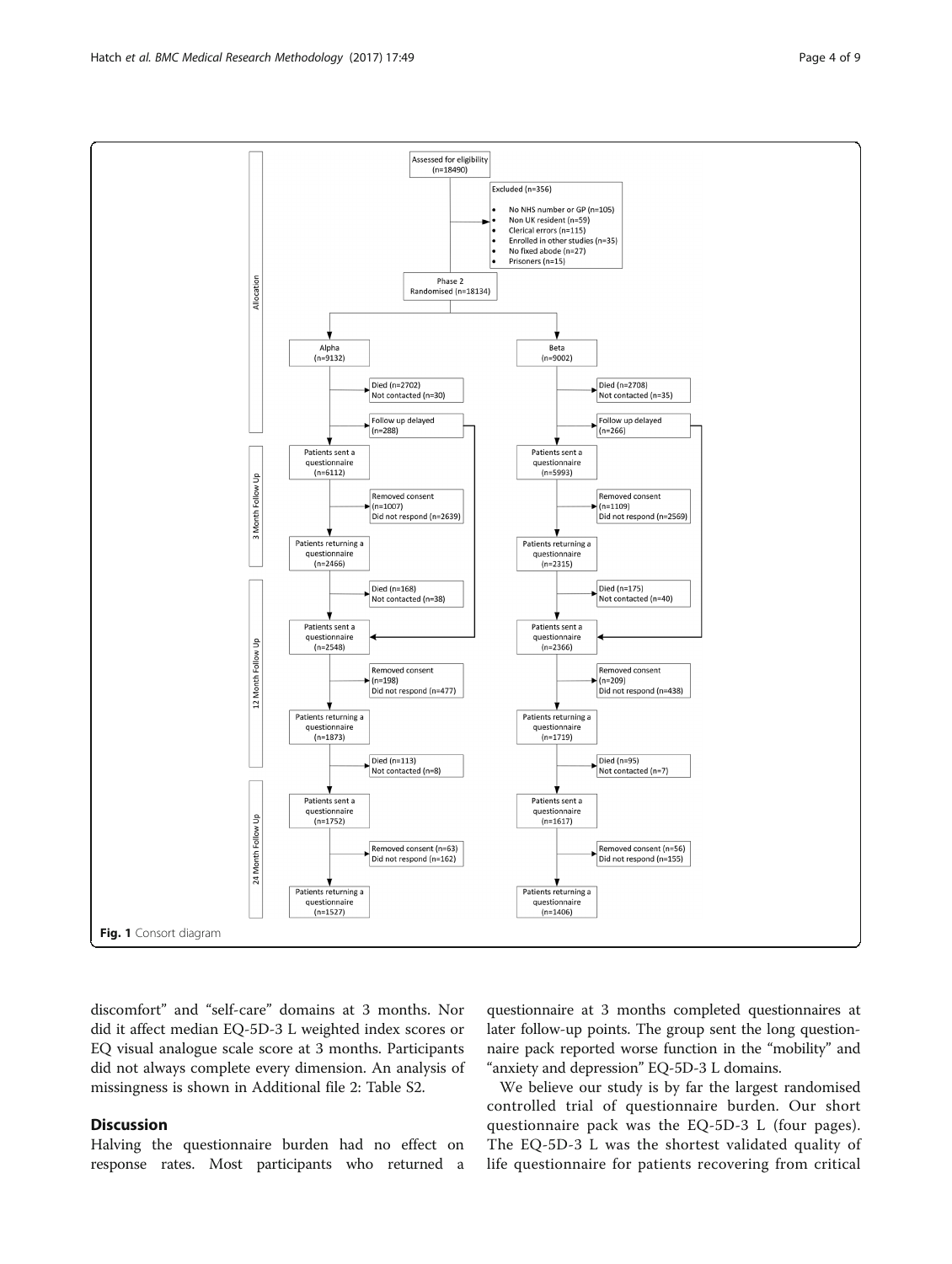discomfort" and "self-care" domains at 3 months. Nor did it affect median EQ-5D-3 L weighted index scores or EQ visual analogue scale score at 3 months. Participants did not always complete every dimension. An analysis of missingness is shown in Additional file [2:](#page-7-0) Table S2.

## **Discussion**

Halving the questionnaire burden had no effect on response rates. Most participants who returned a

questionnaire at 3 months completed questionnaires at later follow-up points. The group sent the long questionnaire pack reported worse function in the "mobility" and "anxiety and depression" EQ-5D-3 L domains.

We believe our study is by far the largest randomised controlled trial of questionnaire burden. Our short questionnaire pack was the EQ-5D-3 L (four pages). The EQ-5D-3 L was the shortest validated quality of life questionnaire for patients recovering from critical

<span id="page-3-0"></span>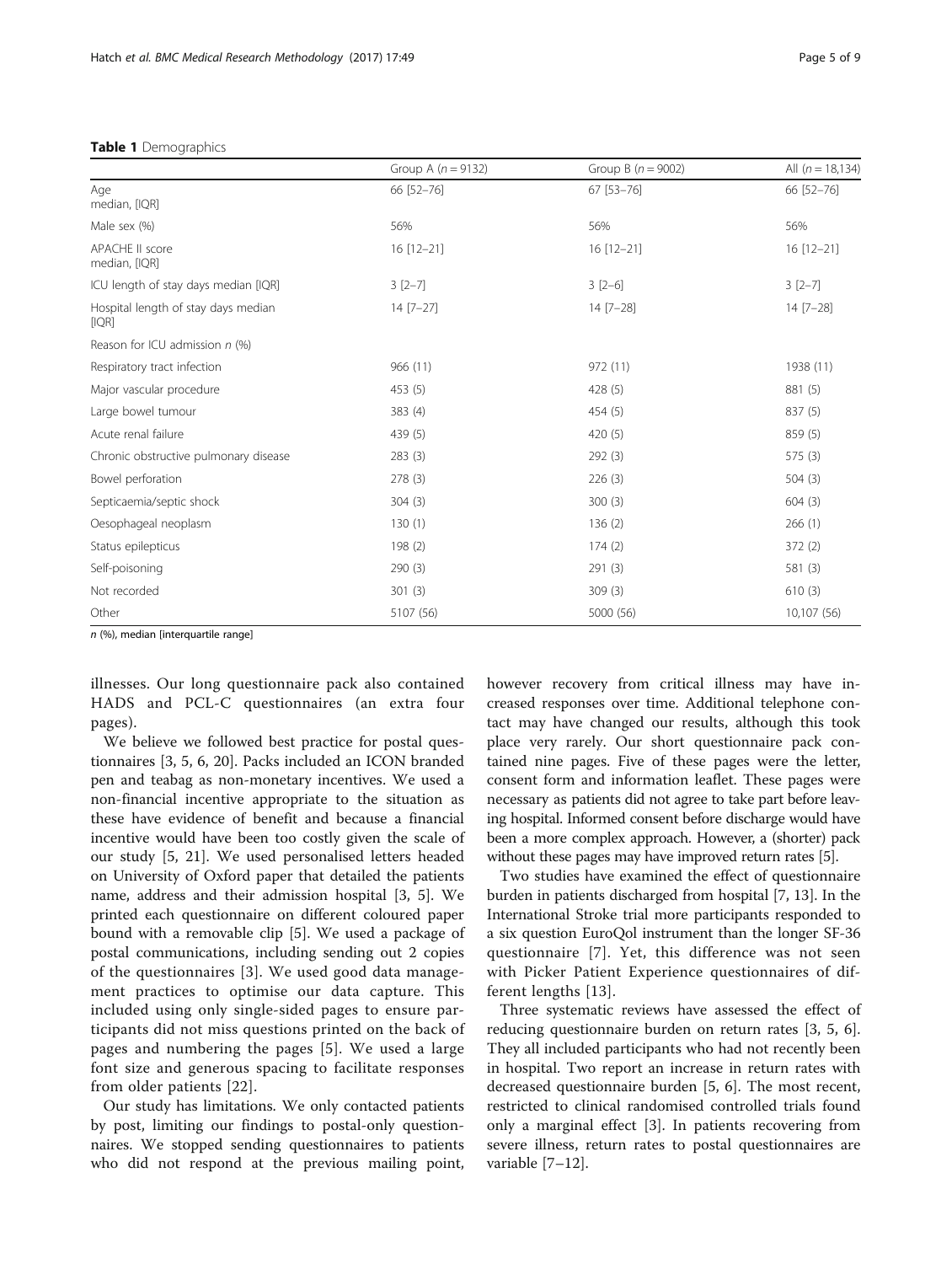## <span id="page-4-0"></span>Table 1 Demographics

|                                              | Group A $(n = 9132)$ | Group B $(n = 9002)$ | All $(n = 18, 134)$<br>66 [52-76] |  |
|----------------------------------------------|----------------------|----------------------|-----------------------------------|--|
| Age<br>median, [IQR]                         | 66 [52-76]           | 67 [53-76]           |                                   |  |
| Male sex (%)                                 | 56%                  | 56%                  | 56%                               |  |
| <b>APACHE II score</b><br>median, [IQR]      | $16$ [12-21]         | 16 [12-21]           | 16 [12-21]                        |  |
| ICU length of stay days median [IQR]         | $3[2-7]$             | $3[2-6]$             | $3[2-7]$                          |  |
| Hospital length of stay days median<br>[IQR] | $14 [7 - 27]$        | $14 [7 - 28]$        | 14 [7-28]                         |  |
| Reason for ICU admission n (%)               |                      |                      |                                   |  |
| Respiratory tract infection                  | 966 (11)             | 972 (11)             | 1938 (11)                         |  |
| Major vascular procedure                     | 453 (5)              | 428 (5)              | 881 (5)                           |  |
| Large bowel tumour                           | 383 (4)              | 454 (5)              | 837 (5)                           |  |
| Acute renal failure                          | 439 (5)              | 420(5)               | 859 (5)                           |  |
| Chronic obstructive pulmonary disease        | 283(3)               | 292(3)               | 575(3)                            |  |
| Bowel perforation                            | 278(3)               | 226(3)               | 504(3)                            |  |
| Septicaemia/septic shock                     | 304(3)               | 300(3)               | 604(3)                            |  |
| Oesophageal neoplasm                         | 130(1)               | 136(2)               | 266(1)                            |  |
| Status epilepticus                           | 198(2)               | 174(2)               | 372(2)                            |  |
| Self-poisoning                               | 290(3)               | 291(3)               | 581 (3)                           |  |
| Not recorded                                 | 301(3)               | 309(3)               | 610(3)                            |  |
| Other                                        | 5107 (56)            | 5000 (56)            | 10,107 (56)                       |  |

n (%), median [interquartile range]

illnesses. Our long questionnaire pack also contained HADS and PCL-C questionnaires (an extra four pages).

We believe we followed best practice for postal questionnaires [\[3](#page-8-0), [5](#page-8-0), [6, 20](#page-8-0)]. Packs included an ICON branded pen and teabag as non-monetary incentives. We used a non-financial incentive appropriate to the situation as these have evidence of benefit and because a financial incentive would have been too costly given the scale of our study [[5](#page-8-0), [21\]](#page-8-0). We used personalised letters headed on University of Oxford paper that detailed the patients name, address and their admission hospital [[3, 5](#page-8-0)]. We printed each questionnaire on different coloured paper bound with a removable clip [\[5\]](#page-8-0). We used a package of postal communications, including sending out 2 copies of the questionnaires [[3\]](#page-8-0). We used good data management practices to optimise our data capture. This included using only single-sided pages to ensure participants did not miss questions printed on the back of pages and numbering the pages [[5\]](#page-8-0). We used a large font size and generous spacing to facilitate responses from older patients [[22](#page-8-0)].

Our study has limitations. We only contacted patients by post, limiting our findings to postal-only questionnaires. We stopped sending questionnaires to patients who did not respond at the previous mailing point, however recovery from critical illness may have increased responses over time. Additional telephone contact may have changed our results, although this took place very rarely. Our short questionnaire pack contained nine pages. Five of these pages were the letter, consent form and information leaflet. These pages were necessary as patients did not agree to take part before leaving hospital. Informed consent before discharge would have been a more complex approach. However, a (shorter) pack without these pages may have improved return rates [\[5\]](#page-8-0).

Two studies have examined the effect of questionnaire burden in patients discharged from hospital [[7, 13](#page-8-0)]. In the International Stroke trial more participants responded to a six question EuroQol instrument than the longer SF-36 questionnaire [[7\]](#page-8-0). Yet, this difference was not seen with Picker Patient Experience questionnaires of different lengths [[13\]](#page-8-0).

Three systematic reviews have assessed the effect of reducing questionnaire burden on return rates [[3, 5](#page-8-0), [6](#page-8-0)]. They all included participants who had not recently been in hospital. Two report an increase in return rates with decreased questionnaire burden [\[5, 6\]](#page-8-0). The most recent, restricted to clinical randomised controlled trials found only a marginal effect [\[3](#page-8-0)]. In patients recovering from severe illness, return rates to postal questionnaires are variable [\[7](#page-8-0)–[12](#page-8-0)].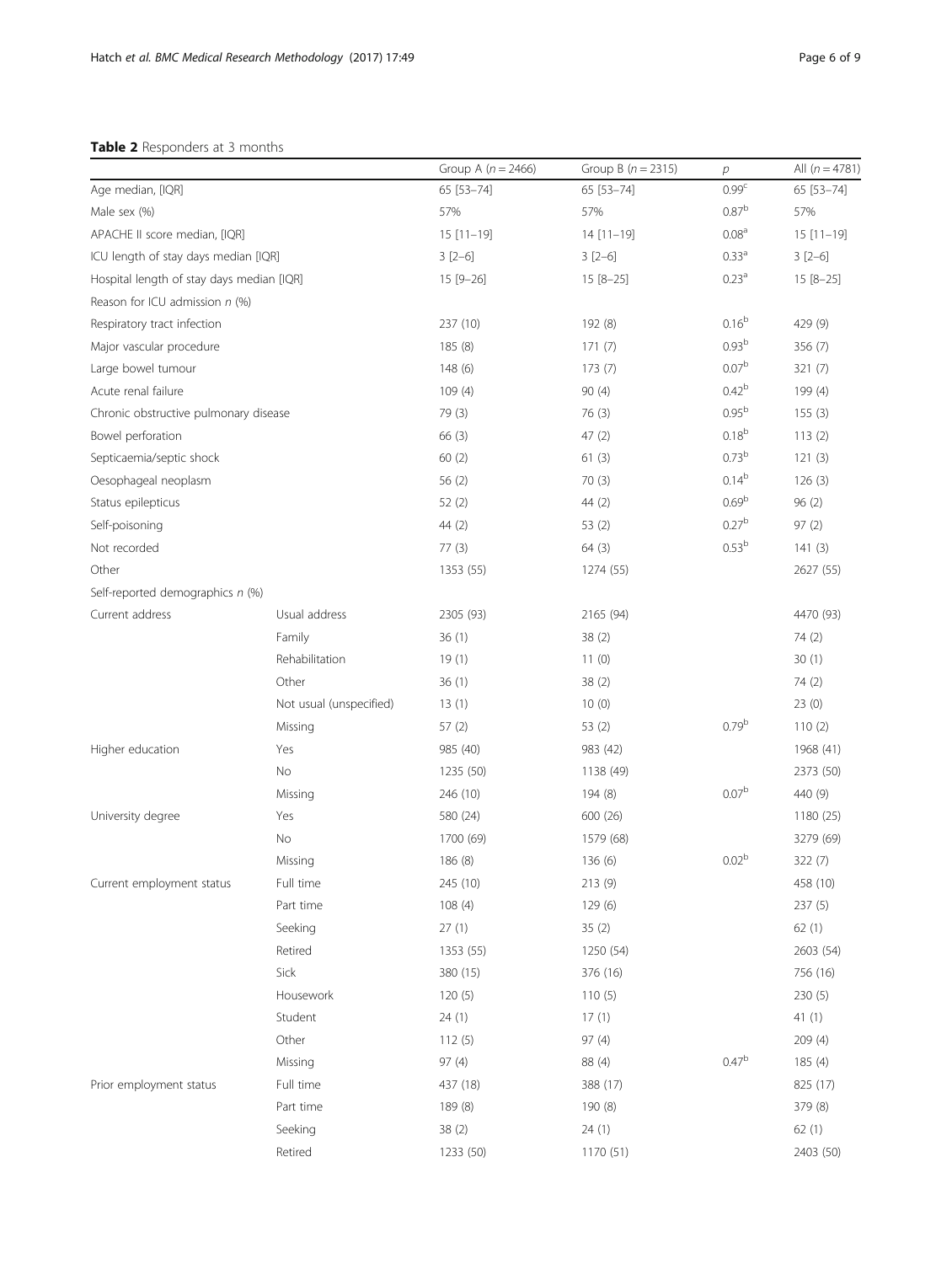## <span id="page-5-0"></span>Table 2 Responders at 3 months

|                                           |                         | Group A ( $n = 2466$ ) | Group B $(n = 2315)$ | $\overline{p}$    | All $(n = 4781)$ |
|-------------------------------------------|-------------------------|------------------------|----------------------|-------------------|------------------|
| Age median, [IQR]                         |                         | 65 [53-74]             | 65 [53-74]           | 0.99 <sup>c</sup> | 65 [53-74]       |
| Male sex (%)                              |                         | 57%                    | 57%                  | 0.87 <sup>b</sup> | 57%              |
| APACHE II score median, [IQR]             |                         | $15 [11 - 19]$         | $14$ [11-19]         | 0.08 <sup>a</sup> | $15[11-19]$      |
| ICU length of stay days median [IQR]      |                         | $3[2-6]$               | $3[2-6]$             | 0.33 <sup>a</sup> | $3[2-6]$         |
| Hospital length of stay days median [IQR] |                         | 15 [9-26]              | $15 [8 - 25]$        | 0.23 <sup>a</sup> | $15 [8 - 25]$    |
| Reason for ICU admission $n$ (%)          |                         |                        |                      |                   |                  |
| Respiratory tract infection               |                         | 237 (10)               | 192 (8)              | $0.16^{b}$        | 429 (9)          |
| Major vascular procedure                  |                         | 185(8)                 | 171(7)               | 0.93 <sup>b</sup> | 356 (7)          |
| Large bowel tumour                        |                         | 148(6)                 | 173(7)               | 0.07 <sup>b</sup> | 321 (7)          |
| Acute renal failure                       |                         | 109(4)                 | 90(4)                | 0.42 <sup>b</sup> | 199 (4)          |
| Chronic obstructive pulmonary disease     |                         | 79 (3)                 | 76(3)                | 0.95 <sup>b</sup> | 155(3)           |
| Bowel perforation                         |                         | 66 (3)                 | 47(2)                | $0.18^{b}$        | 113(2)           |
| Septicaemia/septic shock                  |                         | 60(2)                  | 61(3)                | 0.73 <sup>b</sup> | 121(3)           |
| Oesophageal neoplasm                      |                         | 56 (2)                 | 70(3)                | $0.14^{b}$        | 126(3)           |
| Status epilepticus                        |                         | 52(2)                  | 44 (2)               | 0.69 <sup>b</sup> | 96(2)            |
| Self-poisoning                            |                         | 44(2)                  | 53(2)                | 0.27 <sup>b</sup> | 97(2)            |
| Not recorded                              |                         | 77(3)                  | 64(3)                | 0.53 <sup>b</sup> | 141(3)           |
| Other                                     |                         | 1353 (55)              | 1274 (55)            |                   | 2627 (55)        |
| Self-reported demographics n (%)          |                         |                        |                      |                   |                  |
| Current address                           | Usual address           | 2305 (93)              | 2165 (94)            |                   | 4470 (93)        |
|                                           | Family                  | 36(1)                  | 38(2)                |                   | 74 (2)           |
|                                           | Rehabilitation          | 19(1)                  | 11(0)                |                   | 30(1)            |
|                                           | Other                   | 36(1)                  | 38(2)                |                   | 74 (2)           |
|                                           | Not usual (unspecified) | 13(1)                  | 10(0)                |                   | 23(0)            |
|                                           | Missing                 | 57(2)                  | 53 (2)               | 0.79 <sup>b</sup> | 110(2)           |
| Higher education                          | Yes                     | 985 (40)               | 983 (42)             |                   | 1968 (41)        |
|                                           | No                      | 1235 (50)              | 1138 (49)            |                   | 2373 (50)        |
|                                           | Missing                 | 246 (10)               | 194 (8)              | 0.07 <sup>b</sup> | 440 (9)          |
| University degree                         | Yes                     | 580 (24)               | 600 (26)             |                   | 1180 (25)        |
|                                           | No                      | 1700 (69)              | 1579 (68)            |                   | 3279 (69)        |
|                                           | Missing                 | 186 (8)                | 136(6)               | 0.02 <sup>b</sup> | 322(7)           |
| Current employment status                 | Full time               | 245 (10)               | 213 (9)              |                   | 458 (10)         |
|                                           | Part time               | 108(4)                 | 129 (6)              |                   | 237 (5)          |
|                                           | Seeking                 | 27(1)                  | 35(2)                |                   | 62(1)            |
|                                           | Retired                 | 1353 (55)              | 1250 (54)            |                   | 2603 (54)        |
|                                           | Sick                    | 380 (15)               | 376 (16)             |                   | 756 (16)         |
|                                           | Housework               | 120(5)                 | 110(5)               |                   | 230 (5)          |
|                                           | Student                 | 24(1)                  | 17(1)                |                   | 41(1)            |
|                                           | Other                   | 112(5)                 | 97(4)                |                   | 209 (4)          |
|                                           | Missing                 | 97 (4)                 | 88 (4)               | 0.47 <sup>b</sup> | 185 (4)          |
| Prior employment status                   | Full time               | 437 (18)               | 388 (17)             |                   | 825 (17)         |
|                                           | Part time               | 189 (8)                | 190 (8)              |                   | 379 (8)          |
|                                           | Seeking                 | 38(2)                  | 24(1)                |                   | 62(1)            |
|                                           | Retired                 | 1233 (50)              | 1170 (51)            |                   | 2403 (50)        |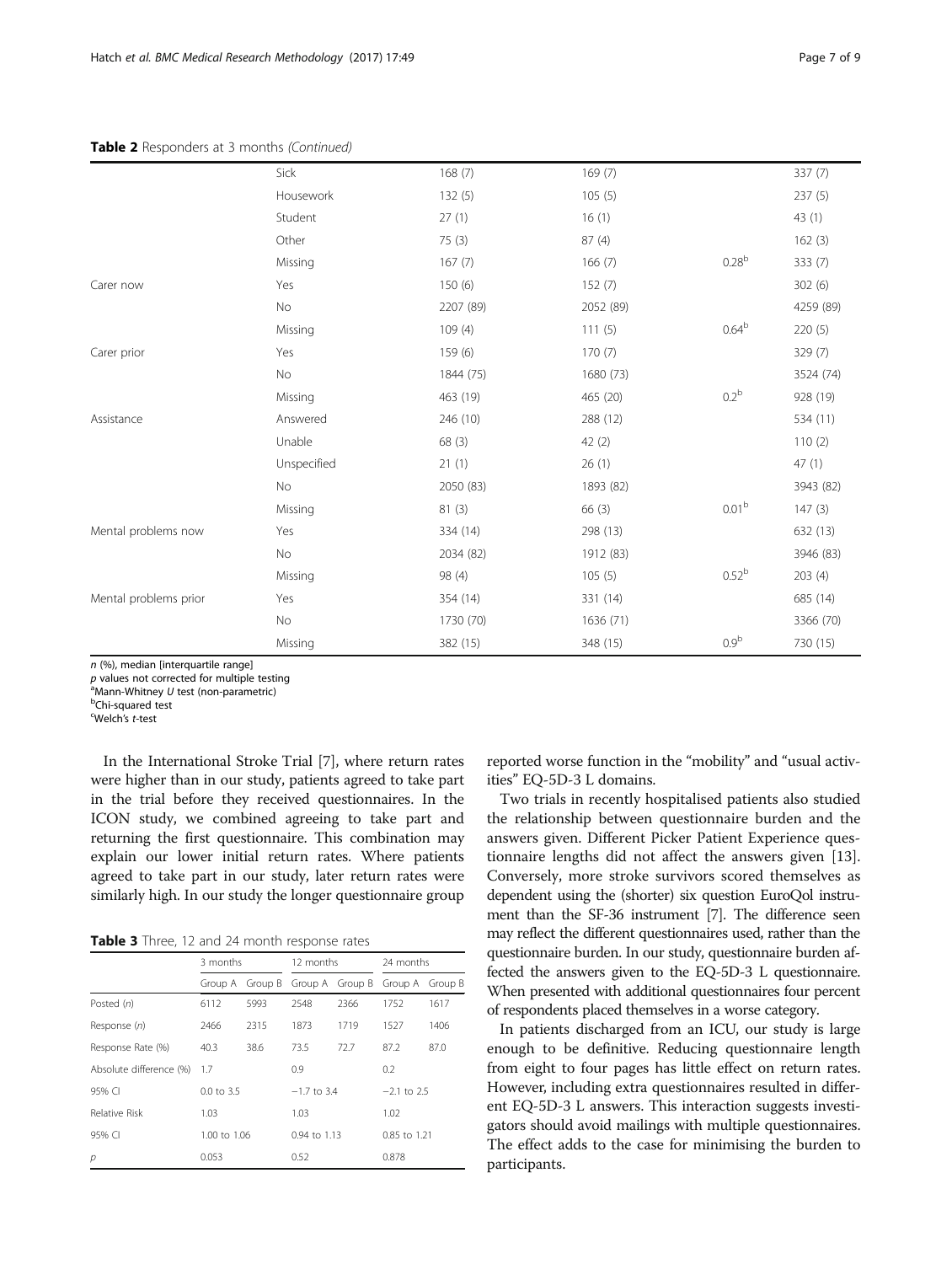## <span id="page-6-0"></span>Table 2 Responders at 3 months (Continued)

|                       | Sick        | 168(7)    | 169(7)    |                   | 337(7)    |
|-----------------------|-------------|-----------|-----------|-------------------|-----------|
|                       | Housework   | 132(5)    | 105(5)    |                   | 237 (5)   |
|                       | Student     | 27(1)     | 16(1)     |                   | 43(1)     |
|                       | Other       | 75(3)     | 87 (4)    |                   | 162(3)    |
|                       | Missing     | 167(7)    | 166(7)    | 0.28 <sup>b</sup> | 333 (7)   |
| Carer now             | Yes         | 150 (6)   | 152(7)    |                   | 302 (6)   |
|                       | No          | 2207 (89) | 2052 (89) |                   | 4259 (89) |
|                       | Missing     | 109(4)    | 111(5)    | 0.64 <sup>b</sup> | 220(5)    |
| Carer prior           | Yes         | 159(6)    | 170(7)    |                   | 329 (7)   |
|                       | No          | 1844 (75) | 1680 (73) |                   | 3524 (74) |
|                       | Missing     | 463 (19)  | 465 (20)  | 0.2 <sup>b</sup>  | 928 (19)  |
| Assistance            | Answered    | 246 (10)  | 288 (12)  |                   | 534 (11)  |
|                       | Unable      | 68(3)     | 42(2)     |                   | 110(2)    |
|                       | Unspecified | 21(1)     | 26(1)     |                   | 47(1)     |
|                       | No          | 2050 (83) | 1893 (82) |                   | 3943 (82) |
|                       | Missing     | 81 (3)    | 66(3)     | 0.01 <sup>b</sup> | 147(3)    |
| Mental problems now   | Yes         | 334 (14)  | 298 (13)  |                   | 632 (13)  |
|                       | No          | 2034 (82) | 1912 (83) |                   | 3946 (83) |
|                       | Missing     | 98 (4)    | 105(5)    | 0.52 <sup>b</sup> | 203 (4)   |
| Mental problems prior | Yes         | 354 (14)  | 331 (14)  |                   | 685 (14)  |
|                       | No          | 1730 (70) | 1636 (71) |                   | 3366 (70) |
|                       | Missing     | 382 (15)  | 348 (15)  | 0.9 <sup>b</sup>  | 730 (15)  |

n (%), median [interquartile range]

 $p$  values not corrected for multiple testing

 $\overline{P}$ Mann-Whitney U test (non-parametric)

Chi-squared test

<sup>c</sup>Welch's t-test

In the International Stroke Trial [\[7\]](#page-8-0), where return rates were higher than in our study, patients agreed to take part in the trial before they received questionnaires. In the ICON study, we combined agreeing to take part and returning the first questionnaire. This combination may explain our lower initial return rates. Where patients agreed to take part in our study, later return rates were similarly high. In our study the longer questionnaire group

Table 3 Three, 12 and 24 month response rates

|                         | 3 months     |                 | 12 months        |                 | 24 months     |         |
|-------------------------|--------------|-----------------|------------------|-----------------|---------------|---------|
|                         |              | Group A Group B |                  | Group A Group B | Group A       | Group B |
| Posted (n)              | 6112         | 5993            | 2548             | 2366            | 1752          | 1617    |
| Response (n)            | 2466         | 2315            | 1873             | 1719            | 1527          | 1406    |
| Response Rate (%)       | 40.3         | 38.6            | 73.5             | 72.7            | 87.2          | 87.0    |
| Absolute difference (%) | 1.7          |                 | 0.9              |                 | 0.2           |         |
| 95% CI                  | 0.0 to 3.5   |                 | $-1.7$ to 3.4    |                 | $-2.1$ to 2.5 |         |
| Relative Risk           | 1.03         |                 | 1.03             |                 | 1.02          |         |
| 95% CI                  | 1.00 to 1.06 |                 | $0.94$ to $1.13$ |                 | 0.85 to 1.21  |         |
| р                       | 0.053        |                 | 0.52             |                 | 0.878         |         |

reported worse function in the "mobility" and "usual activities" EQ-5D-3 L domains.

Two trials in recently hospitalised patients also studied the relationship between questionnaire burden and the answers given. Different Picker Patient Experience questionnaire lengths did not affect the answers given [\[13](#page-8-0)]. Conversely, more stroke survivors scored themselves as dependent using the (shorter) six question EuroQol instrument than the SF-36 instrument [\[7\]](#page-8-0). The difference seen may reflect the different questionnaires used, rather than the questionnaire burden. In our study, questionnaire burden affected the answers given to the EQ-5D-3 L questionnaire. When presented with additional questionnaires four percent of respondents placed themselves in a worse category.

In patients discharged from an ICU, our study is large enough to be definitive. Reducing questionnaire length from eight to four pages has little effect on return rates. However, including extra questionnaires resulted in different EQ-5D-3 L answers. This interaction suggests investigators should avoid mailings with multiple questionnaires. The effect adds to the case for minimising the burden to participants.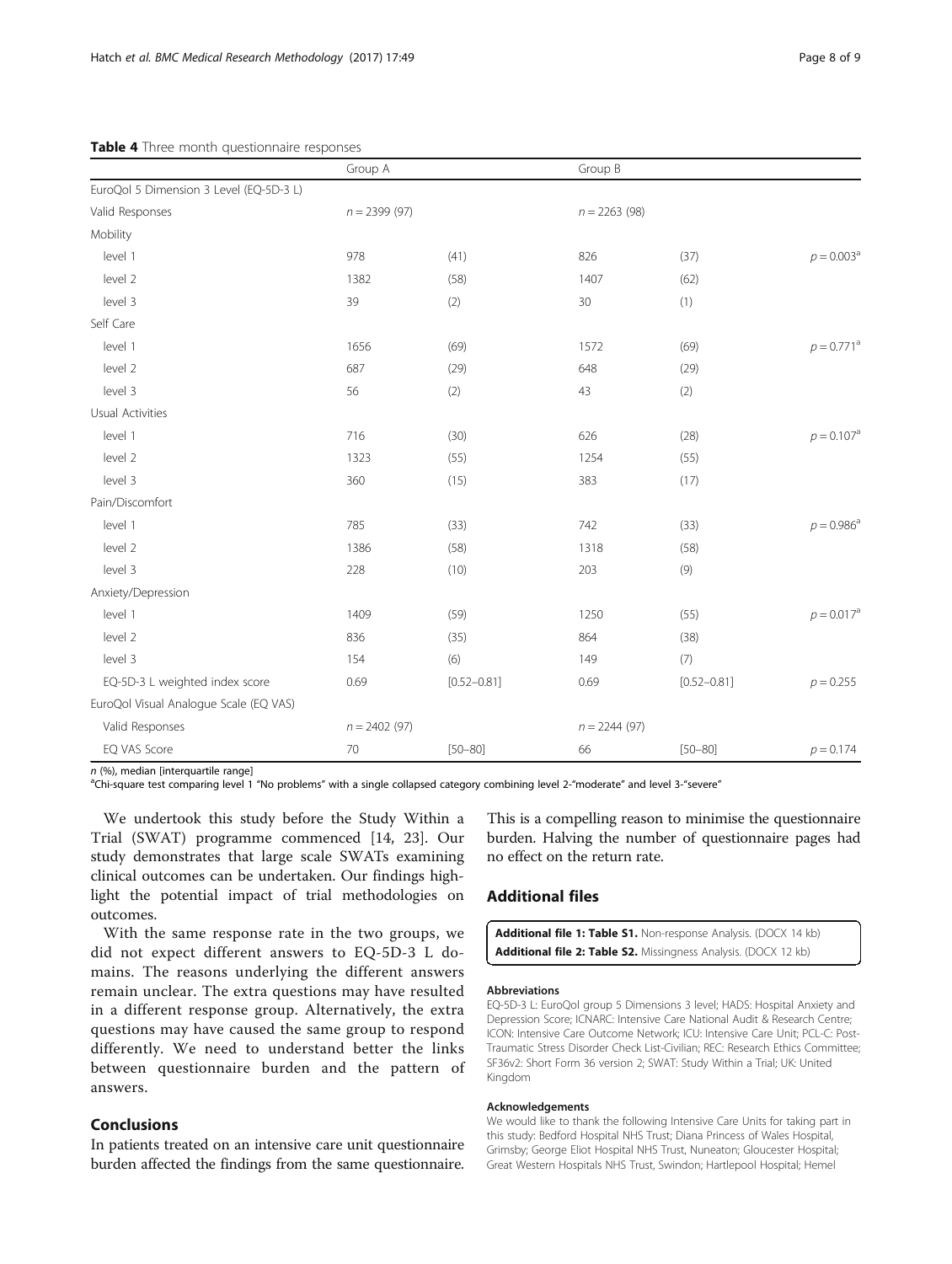## <span id="page-7-0"></span>Table 4 Three month questionnaire responses

|                                         | Group A        |                 |                | Group B         |                     |
|-----------------------------------------|----------------|-----------------|----------------|-----------------|---------------------|
| EuroQol 5 Dimension 3 Level (EQ-5D-3 L) |                |                 |                |                 |                     |
| Valid Responses                         | $n = 2399(97)$ |                 | $n = 2263(98)$ |                 |                     |
| Mobility                                |                |                 |                |                 |                     |
| level 1                                 | 978            | (41)            | 826            | (37)            | $p = 0.003^{\circ}$ |
| level 2                                 | 1382           | (58)            | 1407           | (62)            |                     |
| level 3                                 | 39             | (2)             | 30             | (1)             |                     |
| Self Care                               |                |                 |                |                 |                     |
| level 1                                 | 1656           | (69)            | 1572           | (69)            | $p = 0.771^{\circ}$ |
| level 2                                 | 687            | (29)            | 648            | (29)            |                     |
| level 3                                 | 56             | (2)             | 43             | (2)             |                     |
| Usual Activities                        |                |                 |                |                 |                     |
| level 1                                 | 716            | (30)            | 626            | (28)            | $p = 0.107^{\circ}$ |
| level 2                                 | 1323           | (55)            | 1254           | (55)            |                     |
| level 3                                 | 360            | (15)            | 383            | (17)            |                     |
| Pain/Discomfort                         |                |                 |                |                 |                     |
| level 1                                 | 785            | (33)            | 742            | (33)            | $p = 0.986^{\circ}$ |
| level 2                                 | 1386           | (58)            | 1318           | (58)            |                     |
| level 3                                 | 228            | (10)            | 203            | (9)             |                     |
| Anxiety/Depression                      |                |                 |                |                 |                     |
| level 1                                 | 1409           | (59)            | 1250           | (55)            | $p = 0.017^{\circ}$ |
| level 2                                 | 836            | (35)            | 864            | (38)            |                     |
| level 3                                 | 154            | (6)             | 149            | (7)             |                     |
| EQ-5D-3 L weighted index score          | 0.69           | $[0.52 - 0.81]$ | 0.69           | $[0.52 - 0.81]$ | $p = 0.255$         |
| EuroQol Visual Analogue Scale (EQ VAS)  |                |                 |                |                 |                     |
| Valid Responses                         | $n = 2402(97)$ |                 | $n = 2244(97)$ |                 |                     |
| EQ VAS Score                            | 70             | $[50 - 80]$     | 66             | $[50 - 80]$     | $p = 0.174$         |

 $n$  (%), median [interquartile range]

aChi-square test comparing level 1 "No problems" with a single collapsed category combining level 2-"moderate" and level 3-"severe"

We undertook this study before the Study Within a Trial (SWAT) programme commenced [[14, 23\]](#page-8-0). Our study demonstrates that large scale SWATs examining clinical outcomes can be undertaken. Our findings highlight the potential impact of trial methodologies on outcomes.

With the same response rate in the two groups, we did not expect different answers to EQ-5D-3 L domains. The reasons underlying the different answers remain unclear. The extra questions may have resulted in a different response group. Alternatively, the extra questions may have caused the same group to respond differently. We need to understand better the links between questionnaire burden and the pattern of answers.

## Conclusions

In patients treated on an intensive care unit questionnaire burden affected the findings from the same questionnaire.

This is a compelling reason to minimise the questionnaire burden. Halving the number of questionnaire pages had no effect on the return rate.

## Additional files

| <b>Additional file 1: Table S1.</b> Non-response Analysis. (DOCX 14 kb) |  |
|-------------------------------------------------------------------------|--|
| <b>Additional file 2: Table S2.</b> Missingness Analysis. (DOCX 12 kb)  |  |

#### Abbreviations

EQ-5D-3 L: EuroQol group 5 Dimensions 3 level; HADS: Hospital Anxiety and Depression Score; ICNARC: Intensive Care National Audit & Research Centre; ICON: Intensive Care Outcome Network; ICU: Intensive Care Unit; PCL-C: Post-Traumatic Stress Disorder Check List-Civilian; REC: Research Ethics Committee; SF36v2: Short Form 36 version 2; SWAT: Study Within a Trial; UK: United Kingdom

#### Acknowledgements

We would like to thank the following Intensive Care Units for taking part in this study: Bedford Hospital NHS Trust; Diana Princess of Wales Hospital, Grimsby; George Eliot Hospital NHS Trust, Nuneaton; Gloucester Hospital; Great Western Hospitals NHS Trust, Swindon; Hartlepool Hospital; Hemel